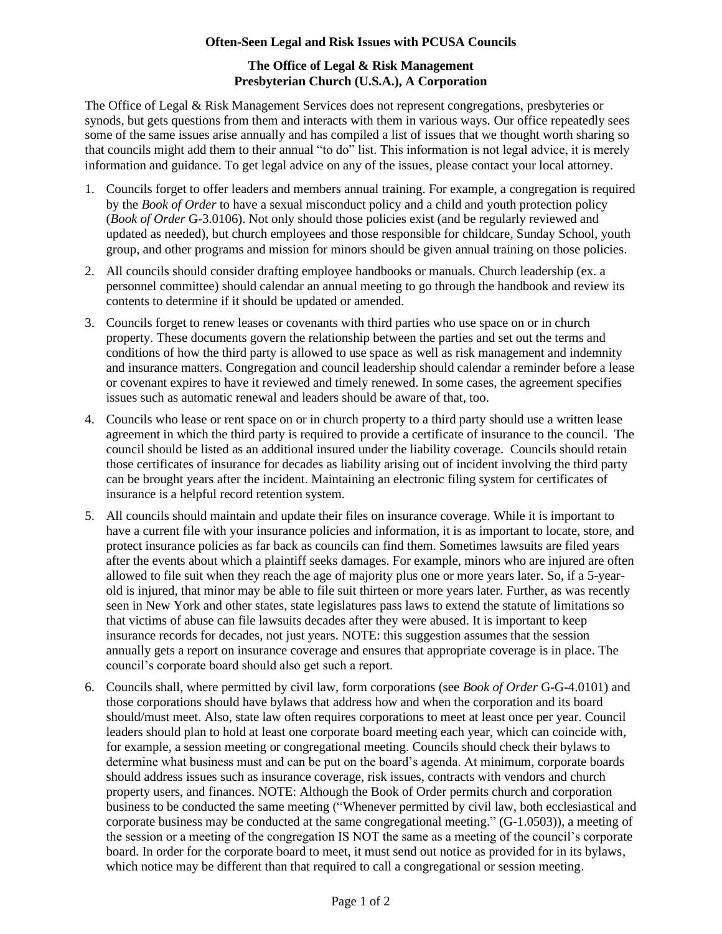## **Often-Seen Legal and Risk Issues with PCUSA Councils**

## **The Office of Legal & Risk Management Presbyterian Church (U.S.A.), A Corporation**

The Office of Legal & Risk Management Services does not represent congregations, presbyteries or synods, but gets questions from them and interacts with them in various ways. Our office repeatedly sees some of the same issues arise annually and has compiled a list of issues that we thought worth sharing so that councils might add them to their annual "to do" list. This information is not legal advice, it is merely information and guidance. To get legal advice on any of the issues, please contact your local attorney.

- 1. Councils forget to offer leaders and members annual training. For example, a congregation is required by the *Book of Order* to have a sexual misconduct policy and a child and youth protection policy (*Book of Order* G-3.0106). Not only should those policies exist (and be regularly reviewed and updated as needed), but church employees and those responsible for childcare, Sunday School, youth group, and other programs and mission for minors should be given annual training on those policies.
- 2. All councils should consider drafting employee handbooks or manuals. Church leadership (ex. a personnel committee) should calendar an annual meeting to go through the handbook and review its contents to determine if it should be updated or amended.
- 3. Councils forget to renew leases or covenants with third parties who use space on or in church property. These documents govern the relationship between the parties and set out the terms and conditions of how the third party is allowed to use space as well as risk management and indemnity and insurance matters. Congregation and council leadership should calendar a reminder before a lease or covenant expires to have it reviewed and timely renewed. In some cases, the agreement specifies issues such as automatic renewal and leaders should be aware of that, too.
- 4. Councils who lease or rent space on or in church property to a third party should use a written lease agreement in which the third party is required to provide a certificate of insurance to the council. The council should be listed as an additional insured under the liability coverage. Councils should retain those certificates of insurance for decades as liability arising out of incident involving the third party can be brought years after the incident. Maintaining an electronic filing system for certificates of insurance is a helpful record retention system.
- 5. All councils should maintain and update their files on insurance coverage. While it is important to have a current file with your insurance policies and information, it is as important to locate, store, and protect insurance policies as far back as councils can find them. Sometimes lawsuits are filed years after the events about which a plaintiff seeks damages. For example, minors who are injured are often allowed to file suit when they reach the age of majority plus one or more years later. So, if a 5-yearold is injured, that minor may be able to file suit thirteen or more years later. Further, as was recently seen in New York and other states, state legislatures pass laws to extend the statute of limitations so that victims of abuse can file lawsuits decades after they were abused. It is important to keep insurance records for decades, not just years. NOTE: this suggestion assumes that the session annually gets a report on insurance coverage and ensures that appropriate coverage is in place. The council's corporate board should also get such a report.
- 6. Councils shall, where permitted by civil law, form corporations (see *Book of Order* G-G-4.0101) and those corporations should have bylaws that address how and when the corporation and its board should/must meet. Also, state law often requires corporations to meet at least once per year. Council leaders should plan to hold at least one corporate board meeting each year, which can coincide with, for example, a session meeting or congregational meeting. Councils should check their bylaws to determine what business must and can be put on the board's agenda. At minimum, corporate boards should address issues such as insurance coverage, risk issues, contracts with vendors and church property users, and finances. NOTE: Although the Book of Order permits church and corporation business to be conducted the same meeting ("Whenever permitted by civil law, both ecclesiastical and corporate business may be conducted at the same congregational meeting." (G-1.0503)), a meeting of the session or a meeting of the congregation IS NOT the same as a meeting of the council's corporate board. In order for the corporate board to meet, it must send out notice as provided for in its bylaws, which notice may be different than that required to call a congregational or session meeting.